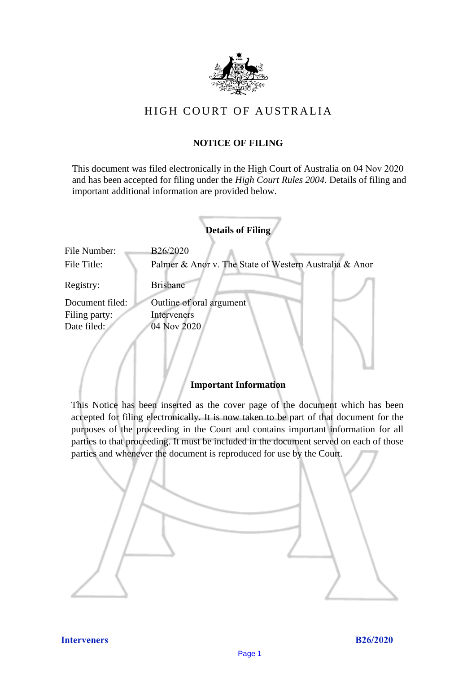

# HIGH COURT OF AU STRALIA HIGH COURT OF AUSTRALIA

# **NOTICE OF FILING** NOTICE OF FILING

This document was filed electronically in the High Court of Australia on 04 Nov 2020 This document was filed electronically in the High Court of Australia 20 and has been accepted for filing under the *High Court Rules 2004*. Details of filing and important additional information are provided below. important additional information are provided below.

|                 | <b>Details of Filing</b>                               |
|-----------------|--------------------------------------------------------|
| File Number:    | B26/2020                                               |
| File Title:     | Palmer & Anor v. The State of Western Australia & Anor |
| Registry:       | <b>Brisbane</b>                                        |
| Document filed: | Outline of oral argument                               |
| Filing party:   | Interveners                                            |
| Date filed:     | 04 Nov 2020                                            |
|                 |                                                        |
|                 |                                                        |
|                 |                                                        |

## **Important Information** Important Information

This Notice has been inserted as the cover page of the document which has been accepted for filing electronically. It is now taken to be part of that document for the purposes of the proceeding in the Court and contains important information for all parties to that proceeding. It must be included in the document served on each of those parties and whenever the document is reproduced for use by the Court. parties and whenever the document is reproduced for use by the Court

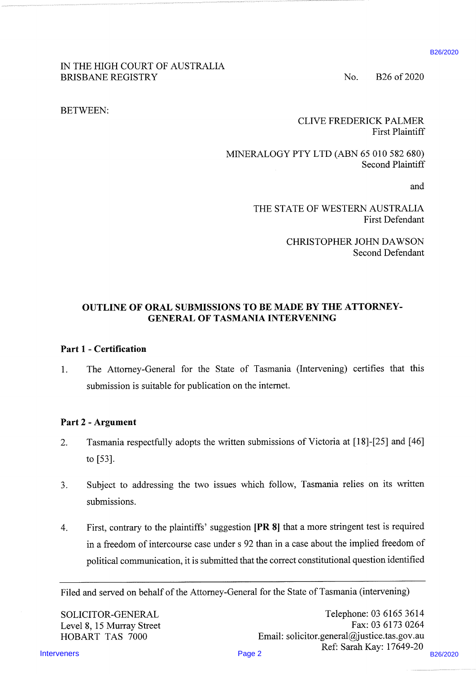#### IN THE HIGH COURT OF AUSTRALIA BRISBANE REGISTRY No. B26 of 2020

BETWEEN:

CLIVE FREDERICK PALMER First Plaintiff

MINERALOGY PTY LTD (ABN 65 010 582 680) Second Plaintiff

and

THE STATE OF WESTERN AUSTRALIA First Defendant

> CHRISTOPHER JOHN DAWSON Second Defendant

### OUTLINE OF ORAL SUBMISSIONS TO BE MADE BY THE ATTORNEY-GENERAL OF TASMANIA INTERVENING

#### Part <sup>1</sup> - Certification

1. The Attorney-General for the State of Tasmania (Intervening) certifies that this submission is suitable for publication on the internet.

#### Part 2 - Argument

- 2. Tasmania respectfully adopts the written submissions of Victoria at [18]-[25] and [46] to [53].
- 3. Subject to addressing the two issues which follow, Tasmania relies on its written submissions.
- IN THE HIGH COURT OF AUSTRALIA<br>
BRISBANE REGISTRY<br>
BETWEEN:<br>
BETWEEN:<br>
BETWEEN:<br>
SUINGRALIAOCHY PTY LTD (ABN 67 910 882 680)<br>
SETWEEN:<br>

WINGRALIAOCHY PTY LTD (ABN 67 910 882 680)<br>
Second Patientin<br>
THE STATE OF WESTURN A 4. First, contrary to the plaintiffs' suggestion [PR 8] that a more stringent test is required in <sup>a</sup> freedom of intercourse case under <sup>s</sup> 92 than in <sup>a</sup> case about the implied freedom of political communication, it is submitted that the correct constitutional question identified

Filed and served on behalf of the Attorney-General for the State of Tasmania (intervening)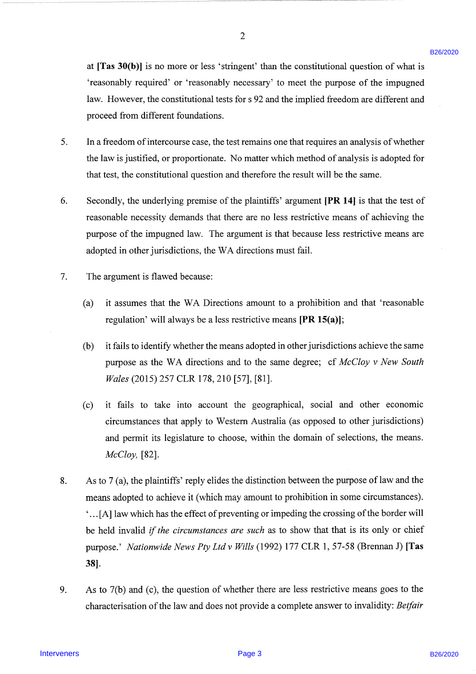at [Tas 30(b)] is no more or less 'stringent' than the constitutional question of what is 'reasonably required' or 'reasonably necessary' to meet the purpose of the impugned law. However, the constitutional tests for <sup>s</sup> 92 and the implied freedom are different and proceed from different foundations.

 $\overline{2}$ 

- In a freedom of intercourse case, the test remains one that requires an analysis ofwhether the law is justified, or proportionate. No matter which method of analysis is adopted for that test, the constitutional question and therefore the result will be the same.
- Secondly, the underlying premise of the plaintiffs' argument [PR 14] is that the test of reasonable necessity demands that there are no less restrictive means of achieving the purpose of the impugned law. The argument is that because less restrictive means are adopted in other jurisdictions, the WA directions must fail.
- The argument is flawed because:
	- (a) it assumes that the WA Directions amount to a prohibition and that 'reasonable regulation' will always be a less restrictive means  $[PR 15(a)];$
	- (b) it fails to identify whether the means adopted in other jurisdictions achieve the same purpose as the WA directions and to the same degree; cf McCloy v New South Wales (2015) 257 CLR 178, 210 [57], [81].
	- (c) it fails to take into account the geographical, social and other economic circumstances that apply to Western Australia (as opposed to other jurisdictions) and permit its legislature to choose, within the domain of selections, the means. McCloy, [82].
- nt [Tas A0(b)] is no more or less "stringent" than the constitutional quoties of what is<br>
"seasonably required for "reasonably reasonary is meet the perpese of the irrepeated<br>
hav. However, the constitutional best for si As to 7 (a), the plaintiffs' reply elides the distinction between the purpose of law and the means adopted to achieve it (which may amount to prohibition in some circumstances). '...[A] law which has the effect of preventing or impeding the crossing of the border will be held invalid *if the circumstances are such* as to show that that is its only or chief purpose.' Nationwide News Pty Ltd v Wills (1992) 177 CLR 1, 57-58 (Brennan J) [Tas 38].
	- As to 7(b) and (c), the question of whether there are less restrictive means goes to the characterisation of the law and does not provide a complete answer to invalidity: Betfair